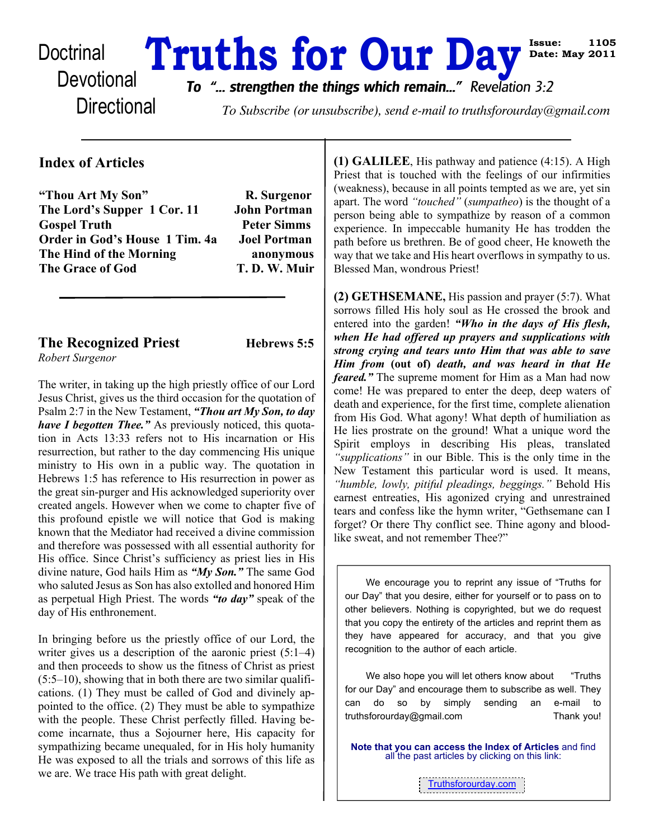# Doctrinal **Truths for Our Day**

**Directional** 

*To "... strengthen the things which remain..." Revelation 3:2*

To Subscribe (or unsubscribe), send e-mail to truthsforourday@gmail.com

# **Index of Articles**

**"Thou Art My Son" R. Surgenor The Lord's Supper 1 Cor. 11 John Portman Gospel Truth Peter Simms Order in God's House 1 Tim. 4a Joel Portman The Hind of the Morning anonymous** The Grace of God T.D.W. Muir

**The Recognized Priest Hebrews 5:5** 

*Robert Surgenor*

The writer, in taking up the high priestly office of our Lord Jesus Christ, gives us the third occasion for the quotation of Psalm 2:7 in the New Testament, *"Thou art My Son, to day have I begotten Thee."* As previously noticed, this quotation in Acts 13:33 refers not to His incarnation or His resurrection, but rather to the day commencing His unique ministry to His own in a public way. The quotation in Hebrews 1:5 has reference to His resurrection in power as the great sin-purger and His acknowledged superiority over created angels. However when we come to chapter five of this profound epistle we will notice that God is making known that the Mediator had received a divine commission and therefore was possessed with all essential authority for His office. Since Christ's sufficiency as priest lies in His divine nature, God hails Him as *"My Son."* The same God who saluted Jesus as Son has also extolled and honored Him as perpetual High Priest. The words *"to day"* speak of the day of His enthronement.

In bringing before us the priestly office of our Lord, the writer gives us a description of the aaronic priest  $(5:1-4)$ and then proceeds to show us the fitness of Christ as priest  $(5:5–10)$ , showing that in both there are two similar qualifications. (1) They must be called of God and divinely appointed to the office. (2) They must be able to sympathize with the people. These Christ perfectly filled. Having become incarnate, thus a Sojourner here, His capacity for sympathizing became unequaled, for in His holy humanity He was exposed to all the trials and sorrows of this life as we are. We trace His path with great delight.

**(1) GALILEE**, His pathway and patience (4:15). A High Priest that is touched with the feelings of our infirmities (weakness), because in all points tempted as we are, yet sin apart. The word *"touched"* (*sumpatheo*) is the thought of a person being able to sympathize by reason of a common experience. In impeccable humanity He has trodden the path before us brethren. Be of good cheer, He knoweth the way that we take and His heart overflows in sympathy to us. Blessed Man, wondrous Priest!

**Issue: 1105 Date: May 2011**

**(2) GETHSEMANE,** His passion and prayer (5:7). What sorrows filled His holy soul as He crossed the brook and entered into the garden! *"Who in the days of His flesh, when He had offered up prayers and supplications with strong crying and tears unto Him that was able to save Him from* **(out of)** *death, and was heard in that He feared."* The supreme moment for Him as a Man had now come! He was prepared to enter the deep, deep waters of death and experience, for the first time, complete alienation from His God. What agony! What depth of humiliation as He lies prostrate on the ground! What a unique word the Spirit employs in describing His pleas, translated *"supplications"* in our Bible. This is the only time in the New Testament this particular word is used. It means, *"humble, lowly, pitiful pleadings, beggings."* Behold His earnest entreaties, His agonized crying and unrestrained tears and confess like the hymn writer, "Gethsemane can I forget? Or there Thy conflict see. Thine agony and bloodlike sweat, and not remember Thee?"

We encourage you to reprint any issue of "Truths for our Day" that you desire, either for yourself or to pass on to other believers. Nothing is copyrighted, but we do request that you copy the entirety of the articles and reprint them as they have appeared for accuracy, and that you give recognition to the author of each article.

We also hope you will let others know about "Truths" for our Day" and encourage them to subscribe as well. They can do so by simply sending an e-mail to truthsforourday@gmail.com Thank you!

**Note that you can access the Index of Articles** and find all the past articles by clicking on this link:

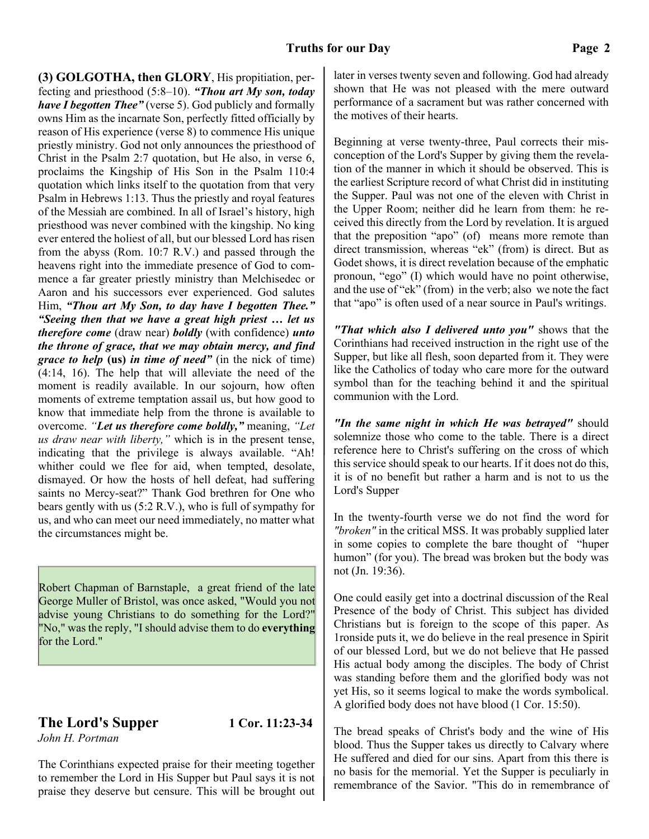**(3) GOLGOTHA, then GLORY**, His propitiation, perfecting and priesthood (5:8–10). *"Thou art My son, today have I begotten Thee"* (verse 5). God publicly and formally owns Him as the incarnate Son, perfectly fitted officially by reason of His experience (verse 8) to commence His unique priestly ministry. God not only announces the priesthood of Christ in the Psalm 2:7 quotation, but He also, in verse 6, proclaims the Kingship of His Son in the Psalm 110:4 quotation which links itself to the quotation from that very Psalm in Hebrews 1:13. Thus the priestly and royal features of the Messiah are combined. In all of Israel's history, high priesthood was never combined with the kingship. No king ever entered the holiest of all, but our blessed Lord has risen from the abyss (Rom. 10:7 R.V.) and passed through the heavens right into the immediate presence of God to commence a far greater priestly ministry than Melchisedec or Aaron and his successors ever experienced. God salutes Him, *"Thou art My Son, to day have I begotten Thee." "Seeing then that we have a great high priest … let us therefore come* (draw near) *boldly* (with confidence) *unto the throne of grace, that we may obtain mercy, and find grace to help* **(us)** *in time of need"* (in the nick of time) (4:14, 16). The help that will alleviate the need of the moment is readily available. In our sojourn, how often moments of extreme temptation assail us, but how good to know that immediate help from the throne is available to overcome. *"Let us therefore come boldly,"* meaning, *"Let us draw near with liberty,"* which is in the present tense, indicating that the privilege is always available. "Ah! whither could we flee for aid, when tempted, desolate, dismayed. Or how the hosts of hell defeat, had suffering saints no Mercy-seat?" Thank God brethren for One who bears gently with us (5:2 R.V.), who is full of sympathy for us, and who can meet our need immediately, no matter what the circumstances might be.

Robert Chapman of Barnstaple, a great friend of the late George Muller of Bristol, was once asked, "Would you not advise young Christians to do something for the Lord?" "No," was the reply, "I should advise them to do **everything** for the Lord."

#### **The Lord's Supper 1 Cor. 11:23-34** *John H. Portman*

The Corinthians expected praise for their meeting together to remember the Lord in His Supper but Paul says it is not praise they deserve but censure. This will be brought out later in verses twenty seven and following. God had already shown that He was not pleased with the mere outward performance of a sacrament but was rather concerned with the motives of their hearts.

Beginning at verse twenty-three, Paul corrects their misconception of the Lord's Supper by giving them the revelation of the manner in which it should be observed. This is the earliest Scripture record of what Christ did in instituting the Supper. Paul was not one of the eleven with Christ in the Upper Room; neither did he learn from them: he received this directly from the Lord by revelation. It is argued that the preposition "apo" (of) means more remote than direct transmission, whereas "ek" (from) is direct. But as Godet shows, it is direct revelation because of the emphatic pronoun, "ego" (I) which would have no point otherwise, and the use of "ek" (from) in the verb; also we note the fact that "apo" is often used of a near source in Paul's writings.

*"That which also I delivered unto you"* shows that the Corinthians had received instruction in the right use of the Supper, but like all flesh, soon departed from it. They were like the Catholics of today who care more for the outward symbol than for the teaching behind it and the spiritual communion with the Lord.

*"In the same night in which He was betrayed"* should solemnize those who come to the table. There is a direct reference here to Christ's suffering on the cross of which this service should speak to our hearts. If it does not do this, it is of no benefit but rather a harm and is not to us the Lord's Supper

In the twenty-fourth verse we do not find the word for *"broken"* in the critical MSS. It was probably supplied later in some copies to complete the bare thought of "huper humon" (for you). The bread was broken but the body was not (Jn. 19:36).

One could easily get into a doctrinal discussion of the Real Presence of the body of Christ. This subject has divided Christians but is foreign to the scope of this paper. As 1ronside puts it, we do believe in the real presence in Spirit of our blessed Lord, but we do not believe that He passed His actual body among the disciples. The body of Christ was standing before them and the glorified body was not yet His, so it seems logical to make the words symbolical. A glorified body does not have blood (1 Cor. 15:50).

The bread speaks of Christ's body and the wine of His blood. Thus the Supper takes us directly to Calvary where He suffered and died for our sins. Apart from this there is no basis for the memorial. Yet the Supper is peculiarly in remembrance of the Savior. "This do in remembrance of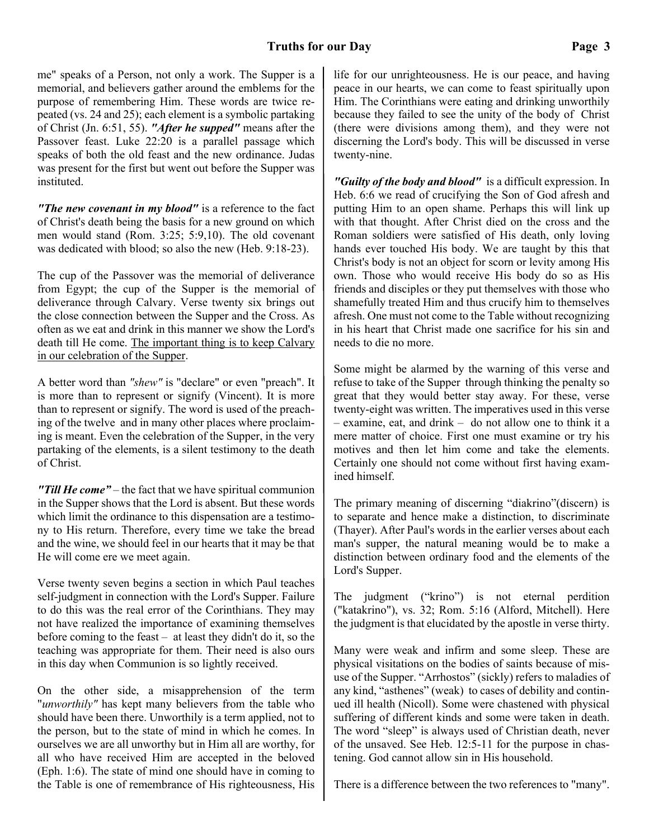me" speaks of a Person, not only a work. The Supper is a memorial, and believers gather around the emblems for the purpose of remembering Him. These words are twice repeated (vs. 24 and 25); each element is a symbolic partaking of Christ (Jn. 6:51, 55). *"After he supped"* means after the Passover feast. Luke 22:20 is a parallel passage which speaks of both the old feast and the new ordinance. Judas was present for the first but went out before the Supper was instituted.

*"The new covenant in my blood"* is a reference to the fact of Christ's death being the basis for a new ground on which men would stand (Rom. 3:25; 5:9,10). The old covenant was dedicated with blood; so also the new (Heb. 9:18-23).

The cup of the Passover was the memorial of deliverance from Egypt; the cup of the Supper is the memorial of deliverance through Calvary. Verse twenty six brings out the close connection between the Supper and the Cross. As often as we eat and drink in this manner we show the Lord's death till He come. The important thing is to keep Calvary in our celebration of the Supper.

A better word than *"shew"* is "declare" or even "preach". It is more than to represent or signify (Vincent). It is more than to represent or signify. The word is used of the preaching of the twelve and in many other places where proclaiming is meant. Even the celebration of the Supper, in the very partaking of the elements, is a silent testimony to the death of Christ.

*"Till He come"* – the fact that we have spiritual communion in the Supper shows that the Lord is absent. But these words which limit the ordinance to this dispensation are a testimony to His return. Therefore, every time we take the bread and the wine, we should feel in our hearts that it may be that He will come ere we meet again.

Verse twenty seven begins a section in which Paul teaches self-judgment in connection with the Lord's Supper. Failure to do this was the real error of the Corinthians. They may not have realized the importance of examining themselves before coming to the feast – at least they didn't do it, so the teaching was appropriate for them. Their need is also ours in this day when Communion is so lightly received.

On the other side, a misapprehension of the term "*unworthily"* has kept many believers from the table who should have been there. Unworthily is a term applied, not to the person, but to the state of mind in which he comes. In ourselves we are all unworthy but in Him all are worthy, for all who have received Him are accepted in the beloved (Eph. 1:6). The state of mind one should have in coming to the Table is one of remembrance of His righteousness, His life for our unrighteousness. He is our peace, and having peace in our hearts, we can come to feast spiritually upon Him. The Corinthians were eating and drinking unworthily because they failed to see the unity of the body of Christ (there were divisions among them), and they were not discerning the Lord's body. This will be discussed in verse twenty-nine.

*"Guilty of the body and blood"* is a difficult expression. In Heb. 6:6 we read of crucifying the Son of God afresh and putting Him to an open shame. Perhaps this will link up with that thought. After Christ died on the cross and the Roman soldiers were satisfied of His death, only loving hands ever touched His body. We are taught by this that Christ's body is not an object for scorn or levity among His own. Those who would receive His body do so as His friends and disciples or they put themselves with those who shamefully treated Him and thus crucify him to themselves afresh. One must not come to the Table without recognizing in his heart that Christ made one sacrifice for his sin and needs to die no more.

Some might be alarmed by the warning of this verse and refuse to take of the Supper through thinking the penalty so great that they would better stay away. For these, verse twenty-eight was written. The imperatives used in this verse – examine, eat, and drink – do not allow one to think it a mere matter of choice. First one must examine or try his motives and then let him come and take the elements. Certainly one should not come without first having examined himself.

The primary meaning of discerning "diakrino"(discern) is to separate and hence make a distinction, to discriminate (Thayer). After Paul's words in the earlier verses about each man's supper, the natural meaning would be to make a distinction between ordinary food and the elements of the Lord's Supper.

The judgment ("krino") is not eternal perdition ("katakrino"), vs. 32; Rom. 5:16 (Alford, Mitchell). Here the judgment is that elucidated by the apostle in verse thirty.

Many were weak and infirm and some sleep. These are physical visitations on the bodies of saints because of misuse of the Supper. "Arrhostos" (sickly) refers to maladies of any kind, "asthenes" (weak) to cases of debility and continued ill health (Nicoll). Some were chastened with physical suffering of different kinds and some were taken in death. The word "sleep" is always used of Christian death, never of the unsaved. See Heb. 12:5-11 for the purpose in chastening. God cannot allow sin in His household.

There is a difference between the two references to "many".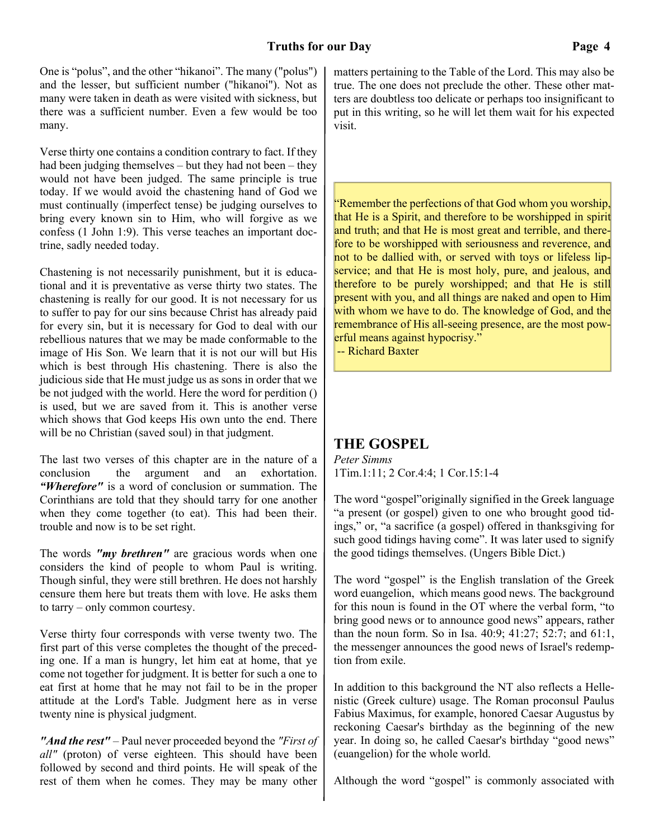One is "polus", and the other "hikanoi". The many ("polus") and the lesser, but sufficient number ("hikanoi"). Not as many were taken in death as were visited with sickness, but there was a sufficient number. Even a few would be too many.

Verse thirty one contains a condition contrary to fact. If they had been judging themselves – but they had not been – they would not have been judged. The same principle is true today. If we would avoid the chastening hand of God we must continually (imperfect tense) be judging ourselves to bring every known sin to Him, who will forgive as we confess (1 John 1:9). This verse teaches an important doctrine, sadly needed today.

Chastening is not necessarily punishment, but it is educational and it is preventative as verse thirty two states. The chastening is really for our good. It is not necessary for us to suffer to pay for our sins because Christ has already paid for every sin, but it is necessary for God to deal with our rebellious natures that we may be made conformable to the image of His Son. We learn that it is not our will but His which is best through His chastening. There is also the judicious side that He must judge us as sons in order that we be not judged with the world. Here the word for perdition () is used, but we are saved from it. This is another verse which shows that God keeps His own unto the end. There will be no Christian (saved soul) in that judgment.

The last two verses of this chapter are in the nature of a conclusion the argument and an exhortation. *"Wherefore"* is a word of conclusion or summation. The Corinthians are told that they should tarry for one another when they come together (to eat). This had been their. trouble and now is to be set right.

The words *"my brethren"* are gracious words when one considers the kind of people to whom Paul is writing. Though sinful, they were still brethren. He does not harshly censure them here but treats them with love. He asks them to tarry – only common courtesy.

Verse thirty four corresponds with verse twenty two. The first part of this verse completes the thought of the preceding one. If a man is hungry, let him eat at home, that ye come not together for judgment. It is better for such a one to eat first at home that he may not fail to be in the proper attitude at the Lord's Table. Judgment here as in verse twenty nine is physical judgment.

*"And the rest"* – Paul never proceeded beyond the *"First of all"* (proton) of verse eighteen. This should have been followed by second and third points. He will speak of the rest of them when he comes. They may be many other matters pertaining to the Table of the Lord. This may also be true. The one does not preclude the other. These other matters are doubtless too delicate or perhaps too insignificant to put in this writing, so he will let them wait for his expected visit.

"Remember the perfections of that God whom you worship, that He is a Spirit, and therefore to be worshipped in spirit and truth; and that He is most great and terrible, and therefore to be worshipped with seriousness and reverence, and not to be dallied with, or served with toys or lifeless lipservice; and that He is most holy, pure, and jealous, and therefore to be purely worshipped; and that He is still present with you, and all things are naked and open to Him with whom we have to do. The knowledge of God, and the remembrance of His all-seeing presence, are the most powerful means against hypocrisy."

-- Richard Baxter

# **THE GOSPEL**

*Peter Simms* 1Tim.1:11; 2 Cor.4:4; 1 Cor.15:1-4

The word "gospel"originally signified in the Greek language "a present (or gospel) given to one who brought good tidings," or, "a sacrifice (a gospel) offered in thanksgiving for such good tidings having come". It was later used to signify the good tidings themselves. (Ungers Bible Dict.)

The word "gospel" is the English translation of the Greek word euangelion, which means good news. The background for this noun is found in the OT where the verbal form, "to bring good news or to announce good news" appears, rather than the noun form. So in Isa. 40:9; 41:27; 52:7; and 61:1, the messenger announces the good news of Israel's redemption from exile.

In addition to this background the NT also reflects a Hellenistic (Greek culture) usage. The Roman proconsul Paulus Fabius Maximus, for example, honored Caesar Augustus by reckoning Caesar's birthday as the beginning of the new year. In doing so, he called Caesar's birthday "good news" (euangelion) for the whole world.

Although the word "gospel" is commonly associated with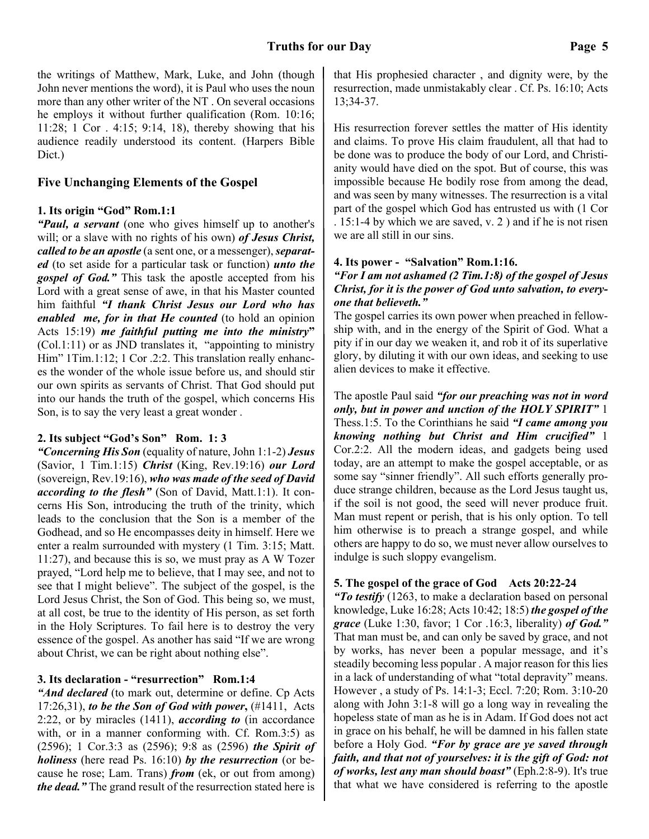the writings of Matthew, Mark, Luke, and John (though John never mentions the word), it is Paul who uses the noun more than any other writer of the NT . On several occasions he employs it without further qualification (Rom. 10:16; 11:28; 1 Cor . 4:15; 9:14, 18), thereby showing that his audience readily understood its content. (Harpers Bible Dict.)

### **Five Unchanging Elements of the Gospel**

#### **1. Its origin "God" Rom.1:1**

*"Paul, a servant* (one who gives himself up to another's will; or a slave with no rights of his own) *of Jesus Christ, called to be an apostle* (a sent one, or a messenger), *separated* (to set aside for a particular task or function) *unto the* **gospel of God.**" This task the apostle accepted from his Lord with a great sense of awe, in that his Master counted him faithful *"I thank Christ Jesus our Lord who has enabled me, for in that He counted* (to hold an opinion Acts 15:19) *me faithful putting me into the ministry***"** (Col.1:11) or as JND translates it, "appointing to ministry Him" 1Tim.1:12; 1 Cor .2:2. This translation really enhances the wonder of the whole issue before us, and should stir our own spirits as servants of Christ. That God should put into our hands the truth of the gospel, which concerns His Son, is to say the very least a great wonder .

#### **2. Its subject "God's Son" Rom. 1: 3**

*"Concerning His Son* (equality of nature, John 1:1-2) *Jesus* (Savior, 1 Tim.1:15) *Christ* (King, Rev.19:16) *our Lord* (sovereign, Rev.19:16), *who was made of the seed of David according to the flesh"* (Son of David, Matt.1:1). It concerns His Son, introducing the truth of the trinity, which leads to the conclusion that the Son is a member of the Godhead, and so He encompasses deity in himself. Here we enter a realm surrounded with mystery (1 Tim. 3:15; Matt. 11:27), and because this is so, we must pray as A W Tozer prayed, "Lord help me to believe, that I may see, and not to see that I might believe". The subject of the gospel, is the Lord Jesus Christ, the Son of God. This being so, we must, at all cost, be true to the identity of His person, as set forth in the Holy Scriptures. To fail here is to destroy the very essence of the gospel. As another has said "If we are wrong about Christ, we can be right about nothing else".

#### **3. Its declaration - "resurrection" Rom.1:4**

*"And declared* (to mark out, determine or define. Cp Acts 17:26,31), *to be the Son of God with power***,** (#1411, Acts 2:22, or by miracles (1411), *according to* (in accordance with, or in a manner conforming with. Cf. Rom.3:5) as (2596); 1 Cor.3:3 as (2596); 9:8 as (2596) *the Spirit of holiness* (here read Ps. 16:10) *by the resurrection* (or because he rose; Lam. Trans) *from* (ek, or out from among) *the dead."* The grand result of the resurrection stated here is

that His prophesied character , and dignity were, by the resurrection, made unmistakably clear . Cf. Ps. 16:10; Acts 13;34-37.

His resurrection forever settles the matter of His identity and claims. To prove His claim fraudulent, all that had to be done was to produce the body of our Lord, and Christianity would have died on the spot. But of course, this was impossible because He bodily rose from among the dead, and was seen by many witnesses. The resurrection is a vital part of the gospel which God has entrusted us with (1 Cor . 15:1-4 by which we are saved, v. 2 ) and if he is not risen we are all still in our sins.

#### **4. Its power - "Salvation" Rom.1:16.**

#### *"For I am not ashamed (2 Tim.1:8) of the gospel of Jesus Christ, for it is the power of God unto salvation, to everyone that believeth."*

The gospel carries its own power when preached in fellowship with, and in the energy of the Spirit of God. What a pity if in our day we weaken it, and rob it of its superlative glory, by diluting it with our own ideas, and seeking to use alien devices to make it effective.

The apostle Paul said *"for our preaching was not in word only, but in power and unction of the HOLY SPIRIT"* 1 Thess.1:5. To the Corinthians he said *"I came among you knowing nothing but Christ and Him crucified"* 1 Cor.2:2. All the modern ideas, and gadgets being used today, are an attempt to make the gospel acceptable, or as some say "sinner friendly". All such efforts generally produce strange children, because as the Lord Jesus taught us, if the soil is not good, the seed will never produce fruit. Man must repent or perish, that is his only option. To tell him otherwise is to preach a strange gospel, and while others are happy to do so, we must never allow ourselves to indulge is such sloppy evangelism.

#### **5. The gospel of the grace of God Acts 20:22-24**

*"To testify* (1263, to make a declaration based on personal knowledge, Luke 16:28; Acts 10:42; 18:5) *the gospel of the grace* (Luke 1:30, favor; 1 Cor .16:3, liberality) *of God."* That man must be, and can only be saved by grace, and not by works, has never been a popular message, and it's steadily becoming less popular . A major reason for this lies in a lack of understanding of what "total depravity" means. However , a study of Ps. 14:1-3; Eccl. 7:20; Rom. 3:10-20 along with John 3:1-8 will go a long way in revealing the hopeless state of man as he is in Adam. If God does not act in grace on his behalf, he will be damned in his fallen state before a Holy God. *"For by grace are ye saved through faith, and that not of yourselves: it is the gift of God: not of works, lest any man should boast"* (Eph.2:8-9). It's true that what we have considered is referring to the apostle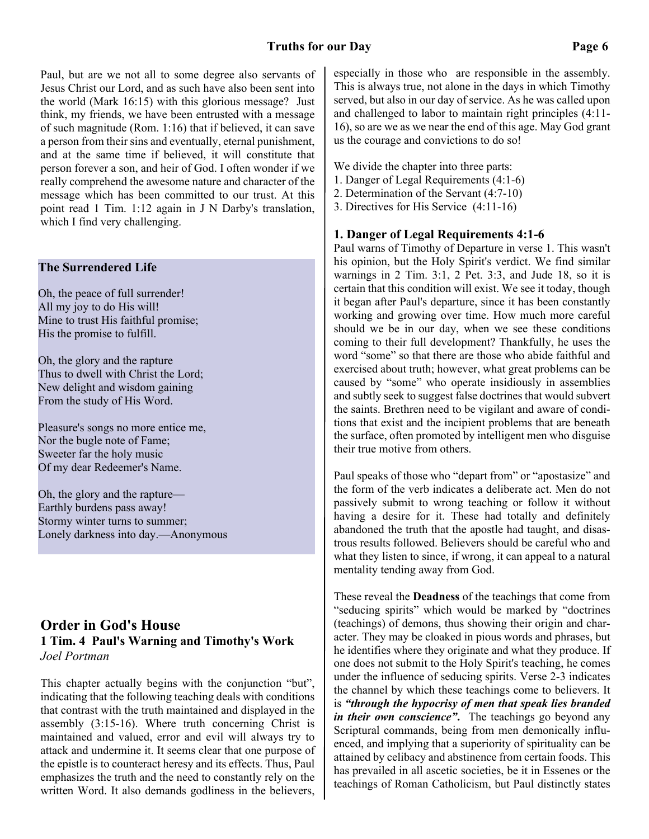Paul, but are we not all to some degree also servants of Jesus Christ our Lord, and as such have also been sent into the world (Mark 16:15) with this glorious message? Just think, my friends, we have been entrusted with a message of such magnitude (Rom. 1:16) that if believed, it can save a person from their sins and eventually, eternal punishment, and at the same time if believed, it will constitute that person forever a son, and heir of God. I often wonder if we really comprehend the awesome nature and character of the message which has been committed to our trust. At this point read 1 Tim. 1:12 again in J N Darby's translation, which I find very challenging.

#### **The Surrendered Life**

Oh, the peace of full surrender! All my joy to do His will! Mine to trust His faithful promise; His the promise to fulfill.

Oh, the glory and the rapture Thus to dwell with Christ the Lord; New delight and wisdom gaining From the study of His Word.

Pleasure's songs no more entice me, Nor the bugle note of Fame; Sweeter far the holy music Of my dear Redeemer's Name.

Oh, the glory and the rapture— Earthly burdens pass away! Stormy winter turns to summer; Lonely darkness into day.—Anonymous

# **Order in God's House 1 Tim. 4 Paul's Warning and Timothy's Work** *Joel Portman*

This chapter actually begins with the conjunction "but", indicating that the following teaching deals with conditions that contrast with the truth maintained and displayed in the assembly (3:15-16). Where truth concerning Christ is maintained and valued, error and evil will always try to attack and undermine it. It seems clear that one purpose of the epistle is to counteract heresy and its effects. Thus, Paul emphasizes the truth and the need to constantly rely on the written Word. It also demands godliness in the believers,

especially in those who are responsible in the assembly. This is always true, not alone in the days in which Timothy served, but also in our day of service. As he was called upon and challenged to labor to maintain right principles (4:11- 16), so are we as we near the end of this age. May God grant us the courage and convictions to do so!

We divide the chapter into three parts:

- 1. Danger of Legal Requirements (4:1-6)
- 2. Determination of the Servant (4:7-10)
- 3. Directives for His Service (4:11-16)

#### **1. Danger of Legal Requirements 4:1-6**

Paul warns of Timothy of Departure in verse 1. This wasn't his opinion, but the Holy Spirit's verdict. We find similar warnings in 2 Tim. 3:1, 2 Pet. 3:3, and Jude 18, so it is certain that this condition will exist. We see it today, though it began after Paul's departure, since it has been constantly working and growing over time. How much more careful should we be in our day, when we see these conditions coming to their full development? Thankfully, he uses the word "some" so that there are those who abide faithful and exercised about truth; however, what great problems can be caused by "some" who operate insidiously in assemblies and subtly seek to suggest false doctrines that would subvert the saints. Brethren need to be vigilant and aware of conditions that exist and the incipient problems that are beneath the surface, often promoted by intelligent men who disguise their true motive from others.

Paul speaks of those who "depart from" or "apostasize" and the form of the verb indicates a deliberate act. Men do not passively submit to wrong teaching or follow it without having a desire for it. These had totally and definitely abandoned the truth that the apostle had taught, and disastrous results followed. Believers should be careful who and what they listen to since, if wrong, it can appeal to a natural mentality tending away from God.

These reveal the **Deadness** of the teachings that come from "seducing spirits" which would be marked by "doctrines (teachings) of demons, thus showing their origin and character. They may be cloaked in pious words and phrases, but he identifies where they originate and what they produce. If one does not submit to the Holy Spirit's teaching, he comes under the influence of seducing spirits. Verse 2-3 indicates the channel by which these teachings come to believers. It is *"through the hypocrisy of men that speak lies branded in their own conscience"***.** The teachings go beyond any Scriptural commands, being from men demonically influenced, and implying that a superiority of spirituality can be attained by celibacy and abstinence from certain foods. This has prevailed in all ascetic societies, be it in Essenes or the teachings of Roman Catholicism, but Paul distinctly states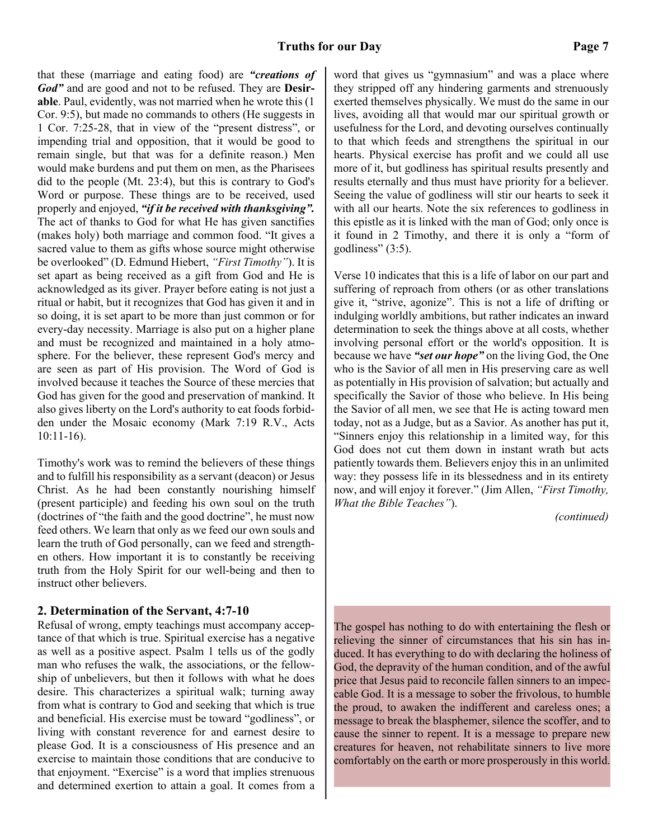that these (marriage and eating food) are *"creations of God"* and are good and not to be refused. They are **Desirable**. Paul, evidently, was not married when he wrote this (1 Cor. 9:5), but made no commands to others (He suggests in 1 Cor. 7:25-28, that in view of the "present distress", or impending trial and opposition, that it would be good to remain single, but that was for a definite reason.) Men would make burdens and put them on men, as the Pharisees did to the people (Mt. 23:4), but this is contrary to God's Word or purpose. These things are to be received, used properly and enjoyed, *"if it be received with thanksgiving".* The act of thanks to God for what He has given sanctifies (makes holy) both marriage and common food. "It gives a sacred value to them as gifts whose source might otherwise be overlooked" (D. Edmund Hiebert, *"First Timothy"*). It is set apart as being received as a gift from God and He is acknowledged as its giver. Prayer before eating is not just a ritual or habit, but it recognizes that God has given it and in so doing, it is set apart to be more than just common or for every-day necessity. Marriage is also put on a higher plane and must be recognized and maintained in a holy atmosphere. For the believer, these represent God's mercy and are seen as part of His provision. The Word of God is involved because it teaches the Source of these mercies that God has given for the good and preservation of mankind. It also gives liberty on the Lord's authority to eat foods forbidden under the Mosaic economy (Mark 7:19 R.V., Acts 10:11-16).

Timothy's work was to remind the believers of these things and to fulfill his responsibility as a servant (deacon) or Jesus Christ. As he had been constantly nourishing himself (present participle) and feeding his own soul on the truth (doctrines of "the faith and the good doctrine", he must now feed others. We learn that only as we feed our own souls and learn the truth of God personally, can we feed and strengthen others. How important it is to constantly be receiving truth from the Holy Spirit for our well-being and then to instruct other believers.

#### **2. Determination of the Servant, 4:7-10**

Refusal of wrong, empty teachings must accompany acceptance of that which is true. Spiritual exercise has a negative as well as a positive aspect. Psalm 1 tells us of the godly man who refuses the walk, the associations, or the fellowship of unbelievers, but then it follows with what he does desire. This characterizes a spiritual walk; turning away from what is contrary to God and seeking that which is true and beneficial. His exercise must be toward "godliness", or living with constant reverence for and earnest desire to please God. It is a consciousness of His presence and an exercise to maintain those conditions that are conducive to that enjoyment. "Exercise" is a word that implies strenuous and determined exertion to attain a goal. It comes from a

word that gives us "gymnasium" and was a place where they stripped off any hindering garments and strenuously exerted themselves physically. We must do the same in our lives, avoiding all that would mar our spiritual growth or usefulness for the Lord, and devoting ourselves continually to that which feeds and strengthens the spiritual in our hearts. Physical exercise has profit and we could all use more of it, but godliness has spiritual results presently and results eternally and thus must have priority for a believer. Seeing the value of godliness will stir our hearts to seek it with all our hearts. Note the six references to godliness in this epistle as it is linked with the man of God; only once is it found in 2 Timothy, and there it is only a "form of godliness"  $(3:5)$ .

Verse 10 indicates that this is a life of labor on our part and suffering of reproach from others (or as other translations give it, "strive, agonize". This is not a life of drifting or indulging worldly ambitions, but rather indicates an inward determination to seek the things above at all costs, whether involving personal effort or the world's opposition. It is because we have *"set our hope"* on the living God, the One who is the Savior of all men in His preserving care as well as potentially in His provision of salvation; but actually and specifically the Savior of those who believe. In His being the Savior of all men, we see that He is acting toward men today, not as a Judge, but as a Savior. As another has put it, "Sinners enjoy this relationship in a limited way, for this God does not cut them down in instant wrath but acts patiently towards them. Believers enjoy this in an unlimited way: they possess life in its blessedness and in its entirety now, and will enjoy it forever." (Jim Allen, *"First Timothy, What the Bible Teaches"*).

*(continued)*

The gospel has nothing to do with entertaining the flesh or relieving the sinner of circumstances that his sin has induced. It has everything to do with declaring the holiness of God, the depravity of the human condition, and of the awful price that Jesus paid to reconcile fallen sinners to an impeccable God. It is a message to sober the frivolous, to humble the proud, to awaken the indifferent and careless ones; a message to break the blasphemer, silence the scoffer, and to cause the sinner to repent. It is a message to prepare new creatures for heaven, not rehabilitate sinners to live more comfortably on the earth or more prosperously in this world.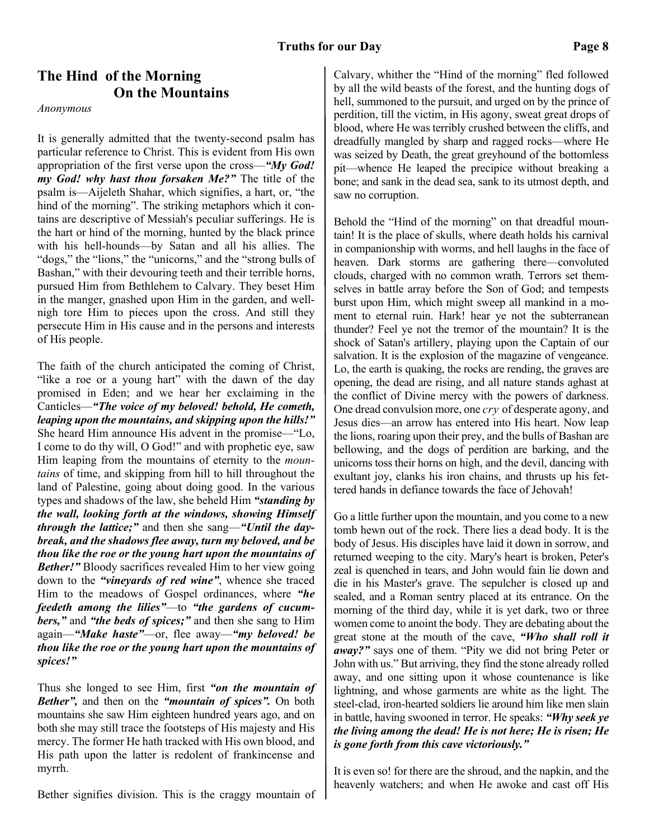# **The Hind of the Morning On the Mountains**

*Anonymous*

It is generally admitted that the twenty-second psalm has particular reference to Christ. This is evident from His own appropriation of the first verse upon the cross—*"My God! my God! why hast thou forsaken Me?"* The title of the psalm is—Aijeleth Shahar, which signifies, a hart, or, "the hind of the morning". The striking metaphors which it contains are descriptive of Messiah's peculiar sufferings. He is the hart or hind of the morning, hunted by the black prince with his hell-hounds—by Satan and all his allies. The "dogs," the "lions," the "unicorns," and the "strong bulls of Bashan," with their devouring teeth and their terrible horns, pursued Him from Bethlehem to Calvary. They beset Him in the manger, gnashed upon Him in the garden, and wellnigh tore Him to pieces upon the cross. And still they persecute Him in His cause and in the persons and interests of His people.

The faith of the church anticipated the coming of Christ, "like a roe or a young hart" with the dawn of the day promised in Eden; and we hear her exclaiming in the Canticles—*"The voice of my beloved! behold, He cometh, leaping upon the mountains, and skipping upon the hills!"* She heard Him announce His advent in the promise—"Lo, I come to do thy will, O God!" and with prophetic eye, saw Him leaping from the mountains of eternity to the *mountains* of time, and skipping from hill to hill throughout the land of Palestine, going about doing good. In the various types and shadows of the law, she beheld Him *"standing by the wall, looking forth at the windows, showing Himself through the lattice;"* and then she sang—*"Until the daybreak, and the shadows flee away, turn my beloved, and be thou like the roe or the young hart upon the mountains of Bether!*" Bloody sacrifices revealed Him to her view going down to the *"vineyards of red wine"*, whence she traced Him to the meadows of Gospel ordinances, where *"he feedeth among the lilies"*—to *"the gardens of cucumbers,"* and *"the beds of spices;"* and then she sang to Him again—*"Make haste"*—or, flee away—*"my beloved! be thou like the roe or the young hart upon the mountains of spices!"*

Thus she longed to see Him, first *"on the mountain of Bether",* and then on the *"mountain of spices".* On both mountains she saw Him eighteen hundred years ago, and on both she may still trace the footsteps of His majesty and His mercy. The former He hath tracked with His own blood, and His path upon the latter is redolent of frankincense and myrrh.

Bether signifies division. This is the craggy mountain of

Calvary, whither the "Hind of the morning" fled followed by all the wild beasts of the forest, and the hunting dogs of hell, summoned to the pursuit, and urged on by the prince of perdition, till the victim, in His agony, sweat great drops of blood, where He was terribly crushed between the cliffs, and dreadfully mangled by sharp and ragged rocks—where He was seized by Death, the great greyhound of the bottomless pit—whence He leaped the precipice without breaking a bone; and sank in the dead sea, sank to its utmost depth, and saw no corruption.

Behold the "Hind of the morning" on that dreadful mountain! It is the place of skulls, where death holds his carnival in companionship with worms, and hell laughs in the face of heaven. Dark storms are gathering there—convoluted clouds, charged with no common wrath. Terrors set themselves in battle array before the Son of God; and tempests burst upon Him, which might sweep all mankind in a moment to eternal ruin. Hark! hear ye not the subterranean thunder? Feel ye not the tremor of the mountain? It is the shock of Satan's artillery, playing upon the Captain of our salvation. It is the explosion of the magazine of vengeance. Lo, the earth is quaking, the rocks are rending, the graves are opening, the dead are rising, and all nature stands aghast at the conflict of Divine mercy with the powers of darkness. One dread convulsion more, one *cry* of desperate agony, and Jesus dies—an arrow has entered into His heart. Now leap the lions, roaring upon their prey, and the bulls of Bashan are bellowing, and the dogs of perdition are barking, and the unicorns toss their horns on high, and the devil, dancing with exultant joy, clanks his iron chains, and thrusts up his fettered hands in defiance towards the face of Jehovah!

Go a little further upon the mountain, and you come to a new tomb hewn out of the rock. There lies a dead body. It is the body of Jesus. His disciples have laid it down in sorrow, and returned weeping to the city. Mary's heart is broken, Peter's zeal is quenched in tears, and John would fain lie down and die in his Master's grave. The sepulcher is closed up and sealed, and a Roman sentry placed at its entrance. On the morning of the third day, while it is yet dark, two or three women come to anoint the body. They are debating about the great stone at the mouth of the cave, *"Who shall roll it away?"* says one of them. "Pity we did not bring Peter or John with us." But arriving, they find the stone already rolled away, and one sitting upon it whose countenance is like lightning, and whose garments are white as the light. The steel-clad, iron-hearted soldiers lie around him like men slain in battle, having swooned in terror. He speaks: *"Why seek ye the living among the dead! He is not here; He is risen; He is gone forth from this cave victoriously."*

It is even so! for there are the shroud, and the napkin, and the heavenly watchers; and when He awoke and cast off His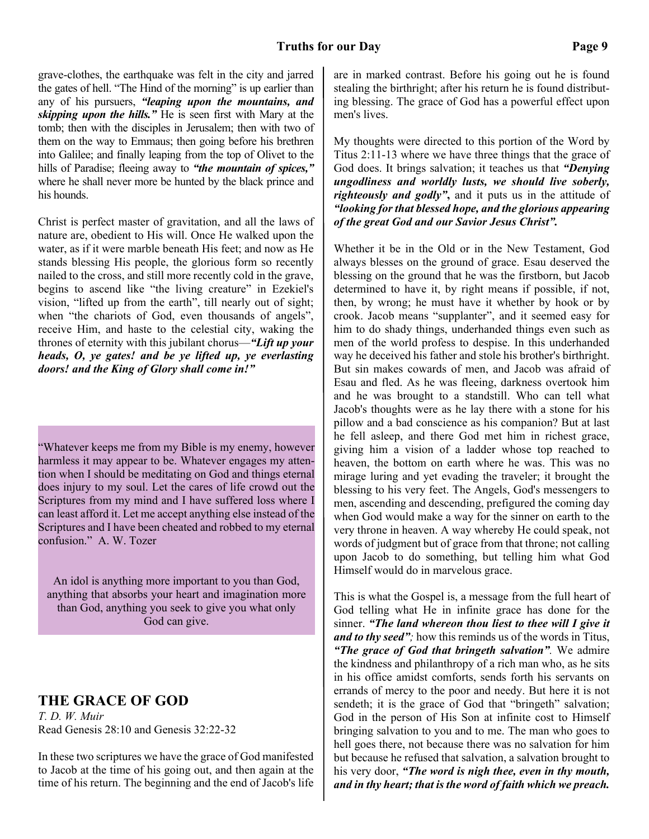### **Truths for our Day Page 9**

grave-clothes, the earthquake was felt in the city and jarred the gates of hell. "The Hind of the morning" is up earlier than any of his pursuers, *"leaping upon the mountains, and skipping upon the hills."* He is seen first with Mary at the tomb; then with the disciples in Jerusalem; then with two of them on the way to Emmaus; then going before his brethren into Galilee; and finally leaping from the top of Olivet to the hills of Paradise; fleeing away to *"the mountain of spices,"* where he shall never more be hunted by the black prince and his hounds.

Christ is perfect master of gravitation, and all the laws of nature are, obedient to His will. Once He walked upon the water, as if it were marble beneath His feet; and now as He stands blessing His people, the glorious form so recently nailed to the cross, and still more recently cold in the grave, begins to ascend like "the living creature" in Ezekiel's vision, "lifted up from the earth", till nearly out of sight; when "the chariots of God, even thousands of angels", receive Him, and haste to the celestial city, waking the thrones of eternity with this jubilant chorus—*"Lift up your heads, O, ye gates! and be ye lifted up, ye everlasting doors! and the King of Glory shall come in!"*

"Whatever keeps me from my Bible is my enemy, however harmless it may appear to be. Whatever engages my attention when I should be meditating on God and things eternal does injury to my soul. Let the cares of life crowd out the Scriptures from my mind and I have suffered loss where I can least afford it. Let me accept anything else instead of the Scriptures and I have been cheated and robbed to my eternal confusion." A. W. Tozer

An idol is anything more important to you than God, anything that absorbs your heart and imagination more than God, anything you seek to give you what only God can give.

# **THE GRACE OF GOD**

*T. D. W. Muir* Read Genesis 28:10 and Genesis 32:22-32

In these two scriptures we have the grace of God manifested to Jacob at the time of his going out, and then again at the time of his return. The beginning and the end of Jacob's life are in marked contrast. Before his going out he is found stealing the birthright; after his return he is found distributing blessing. The grace of God has a powerful effect upon men's lives.

My thoughts were directed to this portion of the Word by Titus 2:11-13 where we have three things that the grace of God does. It brings salvation; it teaches us that *"Denying ungodliness and worldly lusts, we should live soberly, righteously and godly"***,** and it puts us in the attitude of *"looking for that blessed hope, and the glorious appearing of the great God and our Savior Jesus Christ".*

Whether it be in the Old or in the New Testament, God always blesses on the ground of grace. Esau deserved the blessing on the ground that he was the firstborn, but Jacob determined to have it, by right means if possible, if not, then, by wrong; he must have it whether by hook or by crook. Jacob means "supplanter", and it seemed easy for him to do shady things, underhanded things even such as men of the world profess to despise. In this underhanded way he deceived his father and stole his brother's birthright. But sin makes cowards of men, and Jacob was afraid of Esau and fled. As he was fleeing, darkness overtook him and he was brought to a standstill. Who can tell what Jacob's thoughts were as he lay there with a stone for his pillow and a bad conscience as his companion? But at last he fell asleep, and there God met him in richest grace, giving him a vision of a ladder whose top reached to heaven, the bottom on earth where he was. This was no mirage luring and yet evading the traveler; it brought the blessing to his very feet. The Angels, God's messengers to men, ascending and descending, prefigured the coming day when God would make a way for the sinner on earth to the very throne in heaven. A way whereby He could speak, not words of judgment but of grace from that throne; not calling upon Jacob to do something, but telling him what God Himself would do in marvelous grace.

This is what the Gospel is, a message from the full heart of God telling what He in infinite grace has done for the sinner. *"The land whereon thou liest to thee will I give it and to thy seed";* how this reminds us of the words in Titus, *"The grace of God that bringeth salvation".* We admire the kindness and philanthropy of a rich man who, as he sits in his office amidst comforts, sends forth his servants on errands of mercy to the poor and needy. But here it is not sendeth; it is the grace of God that "bringeth" salvation; God in the person of His Son at infinite cost to Himself bringing salvation to you and to me. The man who goes to hell goes there, not because there was no salvation for him but because he refused that salvation, a salvation brought to his very door, *"The word is nigh thee, even in thy mouth, and in thy heart; that is the word of faith which we preach.*